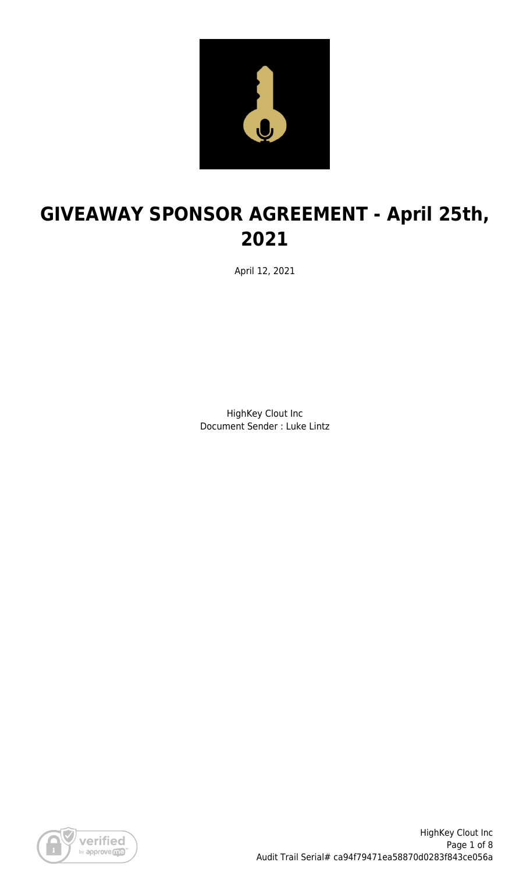

# **GIVEAWAY SPONSOR AGREEMENT - April 25th, 2021**

April 12, 2021

HighKey Clout Inc Document Sender : Luke Lintz

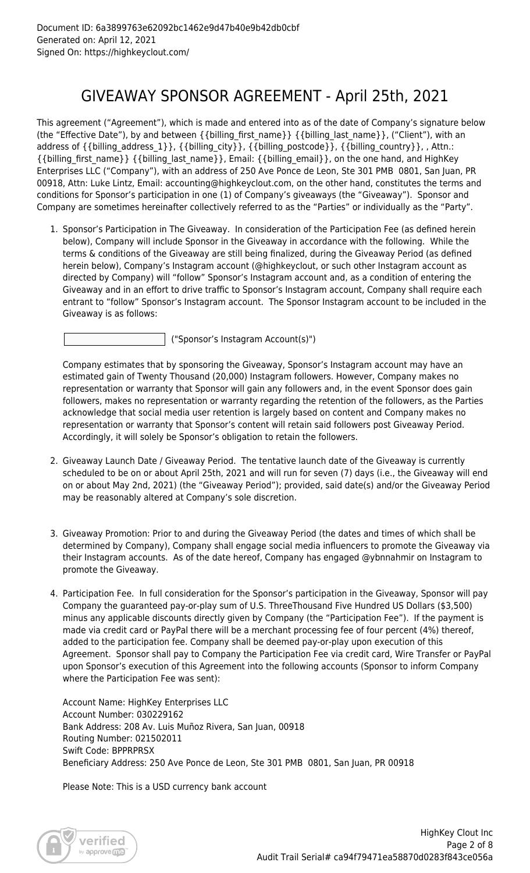### GIVEAWAY SPONSOR AGREEMENT - April 25th, 2021

This agreement ("Agreement"), which is made and entered into as of the date of Company's signature below (the "Effective Date"), by and between {{billing\_first\_name}} {{billing\_last\_name}}, ("Client"), with an address of {{billing\_address\_1}}, {{billing\_city}}, {{billing\_postcode}}, {{billing\_country}}, , Attn.: {{billing\_first\_name}} {{billing\_last\_name}}, Email: {{billing\_email}}, on the one hand, and HighKey Enterprises LLC ("Company"), with an address of 250 Ave Ponce de Leon, Ste 301 PMB 0801, San Juan, PR 00918, Attn: Luke Lintz, Email: accounting@highkeyclout.com, on the other hand, constitutes the terms and conditions for Sponsor's participation in one (1) of Company's giveaways (the "Giveaway"). Sponsor and Company are sometimes hereinafter collectively referred to as the "Parties" or individually as the "Party".

1. Sponsor's Participation in The Giveaway. In consideration of the Participation Fee (as defined herein below), Company will include Sponsor in the Giveaway in accordance with the following. While the terms & conditions of the Giveaway are still being finalized, during the Giveaway Period (as defined herein below), Company's Instagram account (@highkeyclout, or such other Instagram account as directed by Company) will "follow" Sponsor's Instagram account and, as a condition of entering the Giveaway and in an effort to drive traffic to Sponsor's Instagram account, Company shall require each entrant to "follow" Sponsor's Instagram account. The Sponsor Instagram account to be included in the Giveaway is as follows:

("Sponsor's Instagram Account(s)")

Company estimates that by sponsoring the Giveaway, Sponsor's Instagram account may have an estimated gain of Twenty Thousand (20,000) Instagram followers. However, Company makes no representation or warranty that Sponsor will gain any followers and, in the event Sponsor does gain followers, makes no representation or warranty regarding the retention of the followers, as the Parties acknowledge that social media user retention is largely based on content and Company makes no representation or warranty that Sponsor's content will retain said followers post Giveaway Period. Accordingly, it will solely be Sponsor's obligation to retain the followers.

- 2. Giveaway Launch Date / Giveaway Period. The tentative launch date of the Giveaway is currently scheduled to be on or about April 25th, 2021 and will run for seven (7) days (i.e., the Giveaway will end on or about May 2nd, 2021) (the "Giveaway Period"); provided, said date(s) and/or the Giveaway Period may be reasonably altered at Company's sole discretion.
- 3. Giveaway Promotion: Prior to and during the Giveaway Period (the dates and times of which shall be determined by Company), Company shall engage social media influencers to promote the Giveaway via their Instagram accounts. As of the date hereof, Company has engaged @ybnnahmir on Instagram to promote the Giveaway.
- 4. Participation Fee. In full consideration for the Sponsor's participation in the Giveaway, Sponsor will pay Company the guaranteed pay-or-play sum of U.S. ThreeThousand Five Hundred US Dollars (\$3,500) minus any applicable discounts directly given by Company (the "Participation Fee"). If the payment is made via credit card or PayPal there will be a merchant processing fee of four percent (4%) thereof, added to the participation fee. Company shall be deemed pay-or-play upon execution of this Agreement. Sponsor shall pay to Company the Participation Fee via credit card, Wire Transfer or PayPal upon Sponsor's execution of this Agreement into the following accounts (Sponsor to inform Company where the Participation Fee was sent):

Account Name: HighKey Enterprises LLC Account Number: 030229162 Bank Address: 208 Av. Luis Muñoz Rivera, San Juan, 00918 Routing Number: 021502011 Swift Code: BPPRPRSX Beneficiary Address: 250 Ave Ponce de Leon, Ste 301 PMB 0801, San Juan, PR 00918

Please Note: This is a USD currency bank account

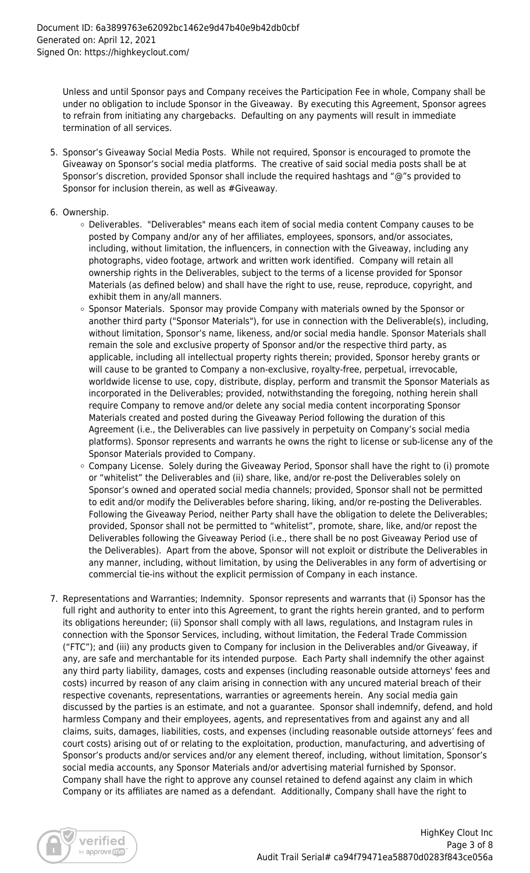Unless and until Sponsor pays and Company receives the Participation Fee in whole, Company shall be under no obligation to include Sponsor in the Giveaway. By executing this Agreement, Sponsor agrees to refrain from initiating any chargebacks. Defaulting on any payments will result in immediate termination of all services.

- 5. Sponsor's Giveaway Social Media Posts. While not required, Sponsor is encouraged to promote the Giveaway on Sponsor's social media platforms. The creative of said social media posts shall be at Sponsor's discretion, provided Sponsor shall include the required hashtags and "@"s provided to Sponsor for inclusion therein, as well as #Giveaway.
- 6. Ownership.
	- Deliverables. "Deliverables" means each item of social media content Company causes to be posted by Company and/or any of her affiliates, employees, sponsors, and/or associates, including, without limitation, the influencers, in connection with the Giveaway, including any photographs, video footage, artwork and written work identified. Company will retain all ownership rights in the Deliverables, subject to the terms of a license provided for Sponsor Materials (as defined below) and shall have the right to use, reuse, reproduce, copyright, and exhibit them in any/all manners.
	- o Sponsor Materials. Sponsor may provide Company with materials owned by the Sponsor or another third party ("Sponsor Materials"), for use in connection with the Deliverable(s), including, without limitation, Sponsor's name, likeness, and/or social media handle. Sponsor Materials shall remain the sole and exclusive property of Sponsor and/or the respective third party, as applicable, including all intellectual property rights therein; provided, Sponsor hereby grants or will cause to be granted to Company a non-exclusive, royalty-free, perpetual, irrevocable, worldwide license to use, copy, distribute, display, perform and transmit the Sponsor Materials as incorporated in the Deliverables; provided, notwithstanding the foregoing, nothing herein shall require Company to remove and/or delete any social media content incorporating Sponsor Materials created and posted during the Giveaway Period following the duration of this Agreement (i.e., the Deliverables can live passively in perpetuity on Company's social media platforms). Sponsor represents and warrants he owns the right to license or sub-license any of the Sponsor Materials provided to Company.
	- o Company License. Solely during the Giveaway Period, Sponsor shall have the right to (i) promote or "whitelist" the Deliverables and (ii) share, like, and/or re-post the Deliverables solely on Sponsor's owned and operated social media channels; provided, Sponsor shall not be permitted to edit and/or modify the Deliverables before sharing, liking, and/or re-posting the Deliverables. Following the Giveaway Period, neither Party shall have the obligation to delete the Deliverables; provided, Sponsor shall not be permitted to "whitelist", promote, share, like, and/or repost the Deliverables following the Giveaway Period (i.e., there shall be no post Giveaway Period use of the Deliverables). Apart from the above, Sponsor will not exploit or distribute the Deliverables in any manner, including, without limitation, by using the Deliverables in any form of advertising or commercial tie-ins without the explicit permission of Company in each instance.
- 7. Representations and Warranties; Indemnity. Sponsor represents and warrants that (i) Sponsor has the full right and authority to enter into this Agreement, to grant the rights herein granted, and to perform its obligations hereunder; (ii) Sponsor shall comply with all laws, regulations, and Instagram rules in connection with the Sponsor Services, including, without limitation, the Federal Trade Commission ("FTC"); and (iii) any products given to Company for inclusion in the Deliverables and/or Giveaway, if any, are safe and merchantable for its intended purpose. Each Party shall indemnify the other against any third party liability, damages, costs and expenses (including reasonable outside attorneys' fees and costs) incurred by reason of any claim arising in connection with any uncured material breach of their respective covenants, representations, warranties or agreements herein. Any social media gain discussed by the parties is an estimate, and not a guarantee. Sponsor shall indemnify, defend, and hold harmless Company and their employees, agents, and representatives from and against any and all claims, suits, damages, liabilities, costs, and expenses (including reasonable outside attorneys' fees and court costs) arising out of or relating to the exploitation, production, manufacturing, and advertising of Sponsor's products and/or services and/or any element thereof, including, without limitation, Sponsor's social media accounts, any Sponsor Materials and/or advertising material furnished by Sponsor. Company shall have the right to approve any counsel retained to defend against any claim in which Company or its affiliates are named as a defendant. Additionally, Company shall have the right to

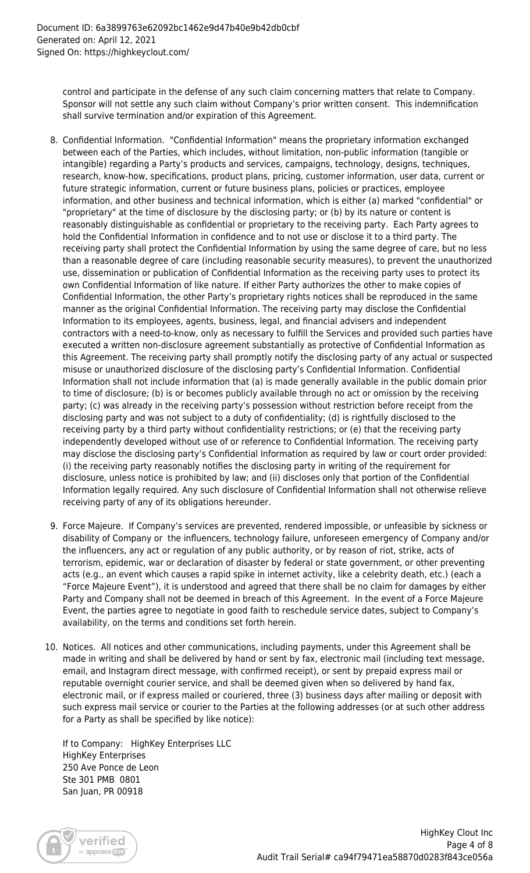control and participate in the defense of any such claim concerning matters that relate to Company. Sponsor will not settle any such claim without Company's prior written consent. This indemnification shall survive termination and/or expiration of this Agreement.

- 8. Confidential Information. "Confidential Information" means the proprietary information exchanged between each of the Parties, which includes, without limitation, non-public information (tangible or intangible) regarding a Party's products and services, campaigns, technology, designs, techniques, research, know-how, specifications, product plans, pricing, customer information, user data, current or future strategic information, current or future business plans, policies or practices, employee information, and other business and technical information, which is either (a) marked "confidential" or "proprietary" at the time of disclosure by the disclosing party; or (b) by its nature or content is reasonably distinguishable as confidential or proprietary to the receiving party. Each Party agrees to hold the Confidential Information in confidence and to not use or disclose it to a third party. The receiving party shall protect the Confidential Information by using the same degree of care, but no less than a reasonable degree of care (including reasonable security measures), to prevent the unauthorized use, dissemination or publication of Confidential Information as the receiving party uses to protect its own Confidential Information of like nature. If either Party authorizes the other to make copies of Confidential Information, the other Party's proprietary rights notices shall be reproduced in the same manner as the original Confidential Information. The receiving party may disclose the Confidential Information to its employees, agents, business, legal, and financial advisers and independent contractors with a need-to-know, only as necessary to fulfill the Services and provided such parties have executed a written non-disclosure agreement substantially as protective of Confidential Information as this Agreement. The receiving party shall promptly notify the disclosing party of any actual or suspected misuse or unauthorized disclosure of the disclosing party's Confidential Information. Confidential Information shall not include information that (a) is made generally available in the public domain prior to time of disclosure; (b) is or becomes publicly available through no act or omission by the receiving party; (c) was already in the receiving party's possession without restriction before receipt from the disclosing party and was not subject to a duty of confidentiality; (d) is rightfully disclosed to the receiving party by a third party without confidentiality restrictions; or (e) that the receiving party independently developed without use of or reference to Confidential Information. The receiving party may disclose the disclosing party's Confidential Information as required by law or court order provided: (i) the receiving party reasonably notifies the disclosing party in writing of the requirement for disclosure, unless notice is prohibited by law; and (ii) discloses only that portion of the Confidential Information legally required. Any such disclosure of Confidential Information shall not otherwise relieve receiving party of any of its obligations hereunder.
- 9. Force Majeure. If Company's services are prevented, rendered impossible, or unfeasible by sickness or disability of Company or the influencers, technology failure, unforeseen emergency of Company and/or the influencers, any act or regulation of any public authority, or by reason of riot, strike, acts of terrorism, epidemic, war or declaration of disaster by federal or state government, or other preventing acts (e.g., an event which causes a rapid spike in internet activity, like a celebrity death, etc.) (each a "Force Majeure Event"), it is understood and agreed that there shall be no claim for damages by either Party and Company shall not be deemed in breach of this Agreement. In the event of a Force Majeure Event, the parties agree to negotiate in good faith to reschedule service dates, subject to Company's availability, on the terms and conditions set forth herein.
- 10. Notices. All notices and other communications, including payments, under this Agreement shall be made in writing and shall be delivered by hand or sent by fax, electronic mail (including text message, email, and Instagram direct message, with confirmed receipt), or sent by prepaid express mail or reputable overnight courier service, and shall be deemed given when so delivered by hand fax, electronic mail, or if express mailed or couriered, three (3) business days after mailing or deposit with such express mail service or courier to the Parties at the following addresses (or at such other address for a Party as shall be specified by like notice):

If to Company: HighKey Enterprises LLC HighKey Enterprises 250 Ave Ponce de Leon Ste 301 PMB 0801 San Juan, PR 00918

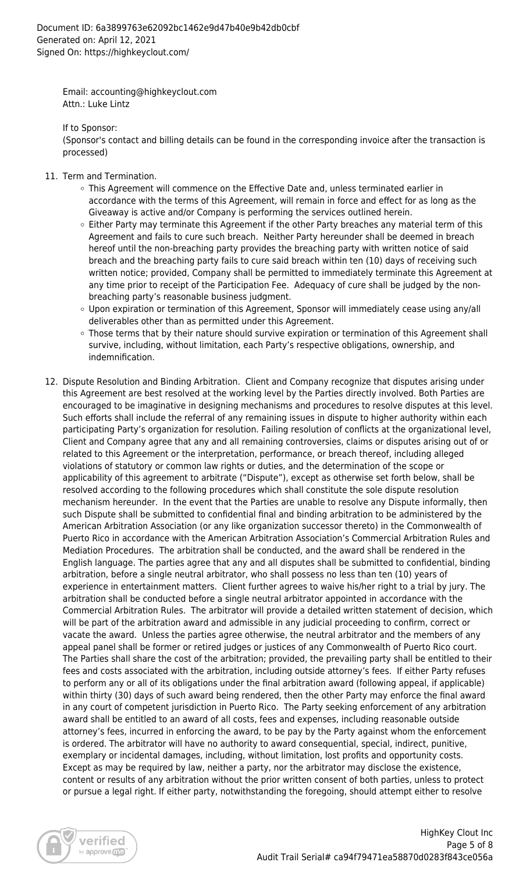Email: accounting@highkeyclout.com Attn.: Luke Lintz

If to Sponsor:

(Sponsor's contact and billing details can be found in the corresponding invoice after the transaction is processed)

- 11. Term and Termination.
	- This Agreement will commence on the Effective Date and, unless terminated earlier in accordance with the terms of this Agreement, will remain in force and effect for as long as the Giveaway is active and/or Company is performing the services outlined herein.
	- $\circ$  Either Party may terminate this Agreement if the other Party breaches any material term of this Agreement and fails to cure such breach. Neither Party hereunder shall be deemed in breach hereof until the non-breaching party provides the breaching party with written notice of said breach and the breaching party fails to cure said breach within ten (10) days of receiving such written notice; provided, Company shall be permitted to immediately terminate this Agreement at any time prior to receipt of the Participation Fee. Adequacy of cure shall be judged by the nonbreaching party's reasonable business judgment.
	- Upon expiration or termination of this Agreement, Sponsor will immediately cease using any/all deliverables other than as permitted under this Agreement.
	- Those terms that by their nature should survive expiration or termination of this Agreement shall survive, including, without limitation, each Party's respective obligations, ownership, and indemnification.
- 12. Dispute Resolution and Binding Arbitration. Client and Company recognize that disputes arising under this Agreement are best resolved at the working level by the Parties directly involved. Both Parties are encouraged to be imaginative in designing mechanisms and procedures to resolve disputes at this level. Such efforts shall include the referral of any remaining issues in dispute to higher authority within each participating Party's organization for resolution. Failing resolution of conflicts at the organizational level, Client and Company agree that any and all remaining controversies, claims or disputes arising out of or related to this Agreement or the interpretation, performance, or breach thereof, including alleged violations of statutory or common law rights or duties, and the determination of the scope or applicability of this agreement to arbitrate ("Dispute"), except as otherwise set forth below, shall be resolved according to the following procedures which shall constitute the sole dispute resolution mechanism hereunder. In the event that the Parties are unable to resolve any Dispute informally, then such Dispute shall be submitted to confidential final and binding arbitration to be administered by the American Arbitration Association (or any like organization successor thereto) in the Commonwealth of Puerto Rico in accordance with the American Arbitration Association's Commercial Arbitration Rules and Mediation Procedures. The arbitration shall be conducted, and the award shall be rendered in the English language. The parties agree that any and all disputes shall be submitted to confidential, binding arbitration, before a single neutral arbitrator, who shall possess no less than ten (10) years of experience in entertainment matters. Client further agrees to waive his/her right to a trial by jury. The arbitration shall be conducted before a single neutral arbitrator appointed in accordance with the Commercial Arbitration Rules. The arbitrator will provide a detailed written statement of decision, which will be part of the arbitration award and admissible in any judicial proceeding to confirm, correct or vacate the award. Unless the parties agree otherwise, the neutral arbitrator and the members of any appeal panel shall be former or retired judges or justices of any Commonwealth of Puerto Rico court. The Parties shall share the cost of the arbitration; provided, the prevailing party shall be entitled to their fees and costs associated with the arbitration, including outside attorney's fees. If either Party refuses to perform any or all of its obligations under the final arbitration award (following appeal, if applicable) within thirty (30) days of such award being rendered, then the other Party may enforce the final award in any court of competent jurisdiction in Puerto Rico. The Party seeking enforcement of any arbitration award shall be entitled to an award of all costs, fees and expenses, including reasonable outside attorney's fees, incurred in enforcing the award, to be pay by the Party against whom the enforcement is ordered. The arbitrator will have no authority to award consequential, special, indirect, punitive, exemplary or incidental damages, including, without limitation, lost profits and opportunity costs. Except as may be required by law, neither a party, nor the arbitrator may disclose the existence, content or results of any arbitration without the prior written consent of both parties, unless to protect or pursue a legal right. If either party, notwithstanding the foregoing, should attempt either to resolve

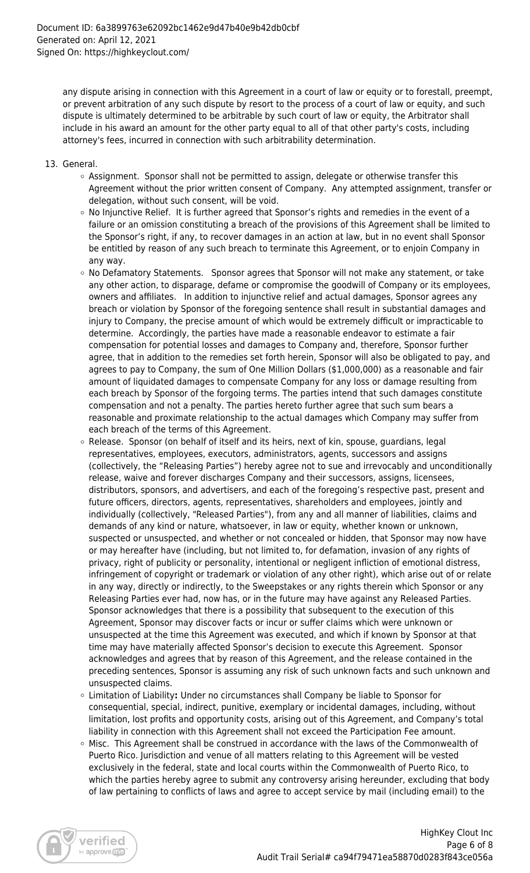any dispute arising in connection with this Agreement in a court of law or equity or to forestall, preempt, or prevent arbitration of any such dispute by resort to the process of a court of law or equity, and such dispute is ultimately determined to be arbitrable by such court of law or equity, the Arbitrator shall include in his award an amount for the other party equal to all of that other party's costs, including attorney's fees, incurred in connection with such arbitrability determination.

- 13. General.
	- $\circ$  Assignment. Sponsor shall not be permitted to assign, delegate or otherwise transfer this Agreement without the prior written consent of Company. Any attempted assignment, transfer or delegation, without such consent, will be void.
	- $\circ$  No Injunctive Relief. It is further agreed that Sponsor's rights and remedies in the event of a failure or an omission constituting a breach of the provisions of this Agreement shall be limited to the Sponsor's right, if any, to recover damages in an action at law, but in no event shall Sponsor be entitled by reason of any such breach to terminate this Agreement, or to enjoin Company in any way.
	- $\circ$  No Defamatory Statements. Sponsor agrees that Sponsor will not make any statement, or take any other action, to disparage, defame or compromise the goodwill of Company or its employees, owners and affiliates. In addition to injunctive relief and actual damages, Sponsor agrees any breach or violation by Sponsor of the foregoing sentence shall result in substantial damages and injury to Company, the precise amount of which would be extremely difficult or impracticable to determine. Accordingly, the parties have made a reasonable endeavor to estimate a fair compensation for potential losses and damages to Company and, therefore, Sponsor further agree, that in addition to the remedies set forth herein, Sponsor will also be obligated to pay, and agrees to pay to Company, the sum of One Million Dollars (\$1,000,000) as a reasonable and fair amount of liquidated damages to compensate Company for any loss or damage resulting from each breach by Sponsor of the forgoing terms. The parties intend that such damages constitute compensation and not a penalty. The parties hereto further agree that such sum bears a reasonable and proximate relationship to the actual damages which Company may suffer from each breach of the terms of this Agreement.
	- $\circ$  Release. Sponsor (on behalf of itself and its heirs, next of kin, spouse, guardians, legal representatives, employees, executors, administrators, agents, successors and assigns (collectively, the "Releasing Parties") hereby agree not to sue and irrevocably and unconditionally release, waive and forever discharges Company and their successors, assigns, licensees, distributors, sponsors, and advertisers, and each of the foregoing's respective past, present and future officers, directors, agents, representatives, shareholders and employees, jointly and individually (collectively, "Released Parties"), from any and all manner of liabilities, claims and demands of any kind or nature, whatsoever, in law or equity, whether known or unknown, suspected or unsuspected, and whether or not concealed or hidden, that Sponsor may now have or may hereafter have (including, but not limited to, for defamation, invasion of any rights of privacy, right of publicity or personality, intentional or negligent infliction of emotional distress, infringement of copyright or trademark or violation of any other right), which arise out of or relate in any way, directly or indirectly, to the Sweepstakes or any rights therein which Sponsor or any Releasing Parties ever had, now has, or in the future may have against any Released Parties. Sponsor acknowledges that there is a possibility that subsequent to the execution of this Agreement, Sponsor may discover facts or incur or suffer claims which were unknown or unsuspected at the time this Agreement was executed, and which if known by Sponsor at that time may have materially affected Sponsor's decision to execute this Agreement. Sponsor acknowledges and agrees that by reason of this Agreement, and the release contained in the preceding sentences, Sponsor is assuming any risk of such unknown facts and such unknown and unsuspected claims.
	- Limitation of Liability**:** Under no circumstances shall Company be liable to Sponsor for consequential, special, indirect, punitive, exemplary or incidental damages, including, without limitation, lost profits and opportunity costs, arising out of this Agreement, and Company's total liability in connection with this Agreement shall not exceed the Participation Fee amount.
	- $\circ$  Misc. This Agreement shall be construed in accordance with the laws of the Commonwealth of Puerto Rico. Jurisdiction and venue of all matters relating to this Agreement will be vested exclusively in the federal, state and local courts within the Commonwealth of Puerto Rico, to which the parties hereby agree to submit any controversy arising hereunder, excluding that body of law pertaining to conflicts of laws and agree to accept service by mail (including email) to the

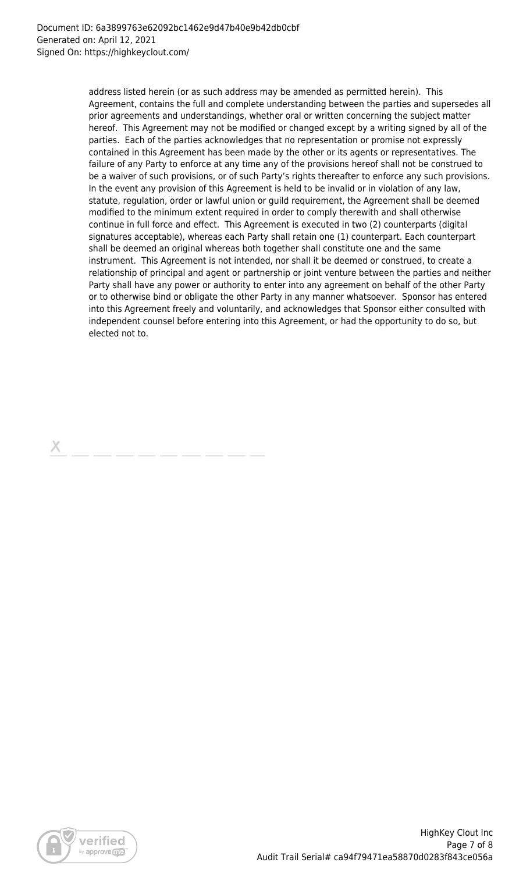address listed herein (or as such address may be amended as permitted herein). This Agreement, contains the full and complete understanding between the parties and supersedes all prior agreements and understandings, whether oral or written concerning the subject matter hereof. This Agreement may not be modified or changed except by a writing signed by all of the parties. Each of the parties acknowledges that no representation or promise not expressly contained in this Agreement has been made by the other or its agents or representatives. The failure of any Party to enforce at any time any of the provisions hereof shall not be construed to be a waiver of such provisions, or of such Party's rights thereafter to enforce any such provisions. In the event any provision of this Agreement is held to be invalid or in violation of any law, statute, regulation, order or lawful union or guild requirement, the Agreement shall be deemed modified to the minimum extent required in order to comply therewith and shall otherwise continue in full force and effect. This Agreement is executed in two (2) counterparts (digital signatures acceptable), whereas each Party shall retain one (1) counterpart. Each counterpart shall be deemed an original whereas both together shall constitute one and the same instrument. This Agreement is not intended, nor shall it be deemed or construed, to create a relationship of principal and agent or partnership or joint venture between the parties and neither Party shall have any power or authority to enter into any agreement on behalf of the other Party or to otherwise bind or obligate the other Party in any manner whatsoever. Sponsor has entered into this Agreement freely and voluntarily, and acknowledges that Sponsor either consulted with independent counsel before entering into this Agreement, or had the opportunity to do so, but elected not to.

Х